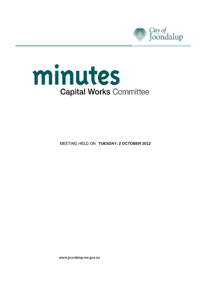



**MEETING HELD ON TUESDAY, 2 OCTOBER 2012** 

www.joondalup.wa.gov.au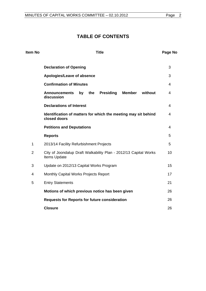# **TABLE OF CONTENTS**

| <b>Item No</b> | <b>Title</b>                                                                                    | Page No |
|----------------|-------------------------------------------------------------------------------------------------|---------|
|                | <b>Declaration of Opening</b>                                                                   | 3       |
|                | Apologies/Leave of absence                                                                      | 3       |
|                | <b>Confirmation of Minutes</b>                                                                  | 4       |
|                | <b>Announcements</b><br><b>Presiding</b><br><b>Member</b><br>without<br>the<br>by<br>discussion | 4       |
|                | <b>Declarations of Interest</b>                                                                 | 4       |
|                | Identification of matters for which the meeting may sit behind<br>closed doors                  | 4       |
|                | <b>Petitions and Deputations</b>                                                                | 4       |
|                | <b>Reports</b>                                                                                  | 5       |
| 1              | 2013/14 Facility Refurbishment Projects                                                         | 5       |
| $\overline{2}$ | City of Joondalup Draft Walkability Plan - 2012/13 Capital Works<br>Items Update                | 10      |
| 3              | Update on 2012/13 Capital Works Program                                                         |         |
| 4              | Monthly Capital Works Projects Report                                                           | 17      |
| 5              | <b>Entry Statements</b>                                                                         | 21      |
|                | Motions of which previous notice has been given                                                 | 26      |
|                | <b>Requests for Reports for future consideration</b>                                            | 26      |
|                | <b>Closure</b>                                                                                  | 26      |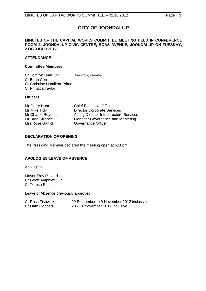# **CITY OF JOONDALUP**

#### <span id="page-2-0"></span>**MINUTES OF THE CAPITAL WORKS COMMITTEE MEETING HELD IN CONFERENCE ROOM 2, JOONDALUP CIVIC CENTRE, BOAS AVENUE, JOONDALUP ON TUESDAY, 2 OCTOBER 2012.**

## **ATTENDANCE**

#### **Committee Members:**

Cr Tom McLean, JP *Presiding Member* Cr Brian Corr Cr Christine Hamilton-Prime Cr Philippa Taylor

#### **Officers:**

Mr Garry Hunt Chief Executive Officer Mrs Rose Garlick Governance Officer

Mr Mike Tidy **Director Corporate Services** Mr Charlie Reynolds Acting Director Infrastructure Services Mr Brad Sillence Manager Governance and Marketing

## **DECLARATION OF OPENING**

The Presiding Member declared the meeting open at 6.10pm.

## **APOLOGIES/LEAVE OF ABSENCE**

Apologies:

Mayor Troy Pickard Cr Geoff Amphlett, JP Cr Teresa Ritchie

Leave of Absence previously approved:

| <b>Cr Russ Fishwick</b> | 29 September to 9 November 2012 inclusive. |
|-------------------------|--------------------------------------------|
| Cr Liam Gobbert         | 20 - 21 November 2012 inclusive.           |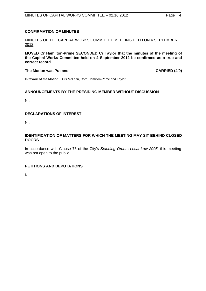## <span id="page-3-0"></span>**CONFIRMATION OF MINUTES**

#### MINUTES OF THE CAPITAL WORKS COMMITTEE MEETING HELD ON 4 SEPTEMBER 2012

**MOVED Cr Hamilton-Prime SECONDED Cr Taylor that the minutes of the meeting of the Capital Works Committee held on 4 September 2012 be confirmed as a true and correct record.** 

#### The Motion was Put and **CARRIED** (4/0)

**In favour of the Motion:** Crs McLean, Corr, Hamilton-Prime and Taylor.

#### **ANNOUNCEMENTS BY THE PRESIDING MEMBER WITHOUT DISCUSSION**

Nil.

## **DECLARATIONS OF INTEREST**

Nil.

## **IDENTIFICATION OF MATTERS FOR WHICH THE MEETING MAY SIT BEHIND CLOSED DOORS**

In accordance with Clause 76 of the City's *Standing Orders Local Law 2005*, this meeting was not open to the public.

## **PETITIONS AND DEPUTATIONS**

Nil.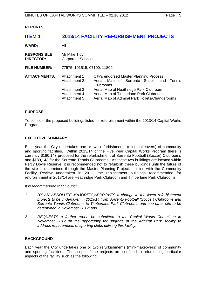<span id="page-4-0"></span>**REPORTS** 

# **ITEM 1 2013/14 FACILITY REFURBISHMENT PROJECTS**

| <b>WARD:</b>                           | All                                                                          |                                                                                                                                                                                                                                         |  |  |  |
|----------------------------------------|------------------------------------------------------------------------------|-----------------------------------------------------------------------------------------------------------------------------------------------------------------------------------------------------------------------------------------|--|--|--|
| <b>RESPONSIBLE</b><br><b>DIRECTOR:</b> | Mr Mike Tidy<br><b>Corporate Services</b>                                    |                                                                                                                                                                                                                                         |  |  |  |
| <b>FILE NUMBER:</b>                    | 77575, 101515; 07100; 11809                                                  |                                                                                                                                                                                                                                         |  |  |  |
| <b>ATTACHMENTS:</b>                    | Attachment 1<br>Attachment 2<br>Attachment 3<br>Attachment 4<br>Attachment 5 | City's endorsed Master Planning Process<br>Aerial Map of Sorrento Soccer and Tennis<br>Clubrooms<br>Aerial Map of Heathridge Park Clubroom<br>Aerial Map of Timberlane Park Clubrooms<br>Aerial Map of Admiral Park Toilets/Changerooms |  |  |  |

#### **PURPOSE**

To consider the proposed buildings listed for refurbishment within the 2013/14 Capital Works Program.

#### **EXECUTIVE SUMMARY**

Each year the City undertakes one or two refurbishments (mini-makeovers) of community and sporting facilities. Within 2013/14 of the Five Year Capital Works Program there is currently \$180,143 proposed for the refurbishment of Sorrento Football (Soccer) Clubrooms and \$180,143 for the Sorrento Tennis Clubrooms. As these two buildings are located within Percy Doyle Reserve, it is recommended not to refurbish these buildings until the future of the site is determined through the Master Planning Project. In line with the Community Facility Review undertaken in 2011, the replacement buildings recommended for refurbishment in 2013/14 are Heathridge Park Clubroom and Timberlane Park Clubrooms.

*It is recommended that Council:* 

- *1 BY AN ABSOLUTE MAJORITY APPROVES a change to the listed refurbishment projects to be undertaken in 2013/14 from Sorrento Football (Soccer) Clubrooms and Sorrento Tennis Clubrooms to Timberlane Park Clubrooms and one other site to be determined in November 2012; and*
- *2 REQUESTS a further report be submitted to the Capital Works Committee in November 2012 on the opportunity for upgrade of the Admiral Park, facility to address requirements of sporting clubs utilising this facility.*

## **BACKGROUND**

Each year the City undertakes one or two refurbishments (mini-makeovers) of community and sporting facilities. The scope of the projects are confined to refurbishing particular aspects of the facility such as the following: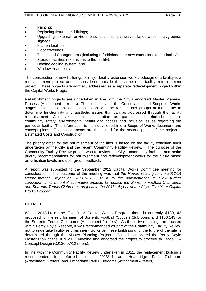- Painting;
- Replacing fixtures and fittings;
- Upgrading external environments such as pathways, landscapes, playgrounds signage:
- Kitchen facilities;
- Floor coverings;
- Toilets and Changerooms (including refurbishment or new extensions to the facility);
- Storage facilities (extensions to the facility);
- Heating/cooling system; and
- Window treatments.

The construction of new buildings or major facility extension works/redesign of a facility is a redevelopment project and is considered outside the scope of a facility refurbishment project. These projects are normally addressed as a separate redevelopment project within the Capital Works Program.

Refurbishment projects are undertaken in line with the City's endorsed Master Planning Process (Attachment 1 refers). The first phase is the Consultation and Scope of Works stages - this phase involves consultation with the regular user groups of the facility to determine functionality and aesthetic issues that can be addressed through the facility refurbishment. Also taken into consideration as part of the refurbishment are community safety, environmental health and access and inclusion issues regarding the particular facility. This information is then developed into a Scope of Works document and concept plans. These documents are then used for the second phase of the project – Estimated Costs and Construction.

The priority order for the refurbishment of facilities is based on the facility condition audit undertaken by the City and the recent Community Facility Review. The purpose of the Community Facility Review project was to review the City's community facilities and make priority recommendations for refurbishment and redevelopment works for the future based on utilisation levels and user group feedback.

A report was submitted to the September 2012 Capital Works Committee meeting for consideration. The outcome of the meeting was that *the Report relating to the 2013/14 Refurbishment Project be REFERRED BACK to the administration to allow further consideration of potential alternative projects to replace the Sorrento Football Clubrooms and Sorrento Tennis Clubrooms projects in the 2013/14 year of the City's Five Year Capital Works Program.* 

## **DETAILS**

Within 2013/14 of the Five Year Capital Works Program there is currently \$180,143 proposed for the refurbishment of Sorrento Football (Soccer) Clubrooms and \$180,143 for the Sorrento Tennis Clubrooms (Attachment 2 refers). As these two buildings are located within Percy Doyle Reserve, it was recommended as part of the Community Facility Review not to undertake facility refurbishment works on these buildings until the future of the site is determined through the Master Planning Project. Council considered the Percy Doyle Master Plan at the July 2012 meeting and endorsed the project to proceed to Stage 3 – Concept Design (CJ136-07/12 refers).

In line with the Community Facility Review undertaken in 2011, the replacement buildings recommended for refurbishment in 2013/14 are Heathridge Park Clubroom (Attachment 3 refers) and Timberlane Park Clubrooms (Attachment 4 refers).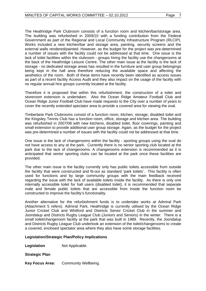The Heathridge Park Clubroom consists of a function room and kitchen/bar/storage area. The building was refurbished in 2009/10 with a funding contribution from the Federal Government as part of the Regional and Local Community Infrastructure Program (RLCIP). Works included a new kitchen/bar and storage area, painting, security screens and the external walls rendered/painted. However, as the budget for the project was pre-determined a number of issues with the facility could not be addressed at that time. One issue is the lack of toilet facilities within the clubroom - groups hiring the facility use the changerooms at the back of the Heathridge Leisure Centre. The other main issue at the facility is the lack of storage - no dedicated storage areas has resulted in the furniture and user group belongings being kept in the hall area therefore reducing the available space and affecting the aesthetics of the room. Both of these items have recently been identified as access issues as part of a recent facility Access Audit and they also impact on the usage of the facility with no regular annual hire groups currently located at the facility.

Therefore it is proposed that within this refurbishment, the construction of a toilet and storeroom extension is undertaken. Also the Ocean Ridge Amateur Football Club and Ocean Ridge Junior Football Club have made requests to the City over a number of years to cover the recently extended spectator area to provide a covered area for viewing the oval.

Timberlane Park Clubrooms consist of a function room, kitchen, storage, disabled toilet and the Kingsley Tennis Club has a function room, office, storage and kitchen area. The building was refurbished in 2007/08 with new kitchens, disabled toilet, floor coverings, painting and small extension to provide additional user group storage. Again, as the budget for the project was pre-determined a number of issues with the facility could not be addressed at that time.

One issue is the lack of changerooms within the facility - sporting groups using the oval do not have access to any at the park. Currently there is no senior sporting club located at the park due to the lack of changerooms. A changerooms extension is recommended as it is anticipated that senior sporting clubs can be located at the park once these facilities are provided.

The other main issue is the facility currently only has public toilets accessible from outside the facility that were constructed and fit-out as standard 'park toilets'. This facility is often used for functions and by large community groups with the main feedback received regarding the issue with the lack of available toilets inside the facility. As there is only one internally accessible toilet for hall users (disabled toilet), it is recommended that separate male and female public toilets that are accessible from inside the function room be constructed to improve the facility's functionality.

Another alternative for the refurbishment funds is to undertake works at Admiral Park (Attachment 5 refers). Admiral Park, Heathridge is currently utilised by the Ocean Ridge Junior Cricket Club and Whitford and Districts Senior Cricket Club in the summer and Joondalup and Districts Rugby League Club (Juniors and Seniors) in the winter. There is a small toilet/changeroom facility at the park that was built in 1989. Recently, the Joondalup and Districts Rugby League Club undertook an extension of the toilet/changerooms to create a covered, enclosed spectator area where they also have some storage facilities.

## **Legislation/Strategic Plan/Policy Implications**

**Legislation** Not Applicable.

**Strategic Plan** 

**Key Focus Area:** Community Wellbeing.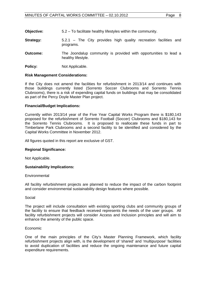| <b>Objective:</b> | 5.2 – To facilitate healthy lifestyles within the community. |
|-------------------|--------------------------------------------------------------|
|-------------------|--------------------------------------------------------------|

- **Strategy:** 5.2.1 The City provides high quality recreation facilities and programs.
- **Outcome:** The Joondalup community is provided with opportunities to lead a healthy lifestyle.
- **Policy:** Not Applicable.

#### **Risk Management Considerations:**

If the City does not amend the facilities for refurbishment in 2013/14 and continues with those buildings currently listed (Sorrento Soccer Clubrooms and Sorrento Tennis Clubrooms), there is a risk of expending capital funds on buildings that may be consolidated as part of the Percy Doyle Master Plan project.

#### **Financial/Budget Implications:**

Currently within 2013/14 year of the Five Year Capital Works Program there is \$180,143 proposed for the refurbishment of Sorrento Football (Soccer) Clubrooms and \$180,143 for the Sorrento Tennis Clubrooms. It is proposed to reallocate these funds in part to Timberlane Park Clubrooms and a second facility to be identified and considered by the Capital Works Committee in November 2012.

All figures quoted in this report are exclusive of GST.

#### **Regional Significance:**

Not Applicable.

#### **Sustainability Implications:**

#### **Environmental**

All facility refurbishment projects are planned to reduce the impact of the carbon footprint and consider environmental sustainability design features where possible.

#### Social

The project will include consultation with existing sporting clubs and community groups of the facility to ensure that feedback received represents the needs of the user groups. All facility refurbishment projects will consider Access and Inclusion principles and will aim to enhance the amenity of the public space.

#### Economic

One of the main principles of the City's Master Planning Framework, which facility refurbishment projects align with, is the development of 'shared' and 'multipurpose' facilities to avoid duplication of facilities and reduce the ongoing maintenance and future capital expenditure requirements.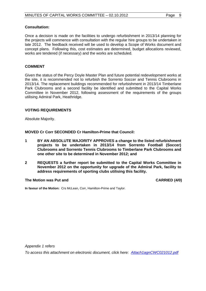#### **Consultation:**

Once a decision is made on the facilities to undergo refurbishment in 2013/14 planning for the projects will commence with consultation with the regular hire groups to be undertaken in late 2012. The feedback received will be used to develop a Scope of Works document and concept plans. Following this, cost estimates are determined, budget allocations reviewed, works are tendered (if necessary) and the works are scheduled.

#### **COMMENT**

Given the status of the Percy Doyle Master Plan and future potential redevelopment works at the site, it is recommended not to refurbish the Sorrento Soccer and Tennis Clubrooms in 2013/14. The replacement buildings recommended for refurbishment in 2013/14 Timberlane Park Clubrooms and a second facility be identified and submitted to the Capital Works Committee in November 2012, following assessment of the requirements of the groups utilising Admiral Park, Heathridge.

#### **VOTING REQUIREMENTS**

Absolute Majority.

**MOVED Cr Corr SECONDED Cr Hamilton-Prime that Council:** 

- **1 BY AN ABSOLUTE MAJORITY APPROVES a change to the listed refurbishment projects to be undertaken in 2013/14 from Sorrento Football (Soccer) Clubrooms and Sorrento Tennis Clubrooms to Timberlane Park Clubrooms and one other site to be determined in November 2012; and**
- **2 REQUESTS a further report be submitted to the Capital Works Committee in November 2012 on the opportunity for upgrade of the Admiral Park, facility to address requirements of sporting clubs utilising this facility.**

#### The Motion was Put and **CARRIED** (4/0)

**In favour of the Motion:** Crs McLean, Corr, Hamilton-Prime and Taylor.

*Appendix 1 refers* 

*To access this attachment on electronic document, click here:<Attach1agnCWC021012.pdf>*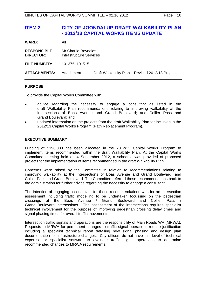# <span id="page-9-0"></span>**ITEM 2 CITY OF JOONDALUP DRAFT WALKABILITY PLAN - 2012/13 CAPITAL WORKS ITEMS UPDATE**

| <b>WARD:</b>                           | All                                            |                                                   |
|----------------------------------------|------------------------------------------------|---------------------------------------------------|
| <b>RESPONSIBLE</b><br><b>DIRECTOR:</b> | Mr Charlie Reynolds<br>Infrastructure Services |                                                   |
| <b>FILE NUMBER:</b>                    | 101375, 101515                                 |                                                   |
| <b>ATTACHMENTS:</b>                    | Attachment 1                                   | Draft Walkability Plan - Revised 2012/13 Projects |

#### **PURPOSE**

To provide the Capital Works Committee with:

- advice regarding the necessity to engage a consultant as listed in the draft Walkability Plan recommendations relating to improving walkability at the intersections of Boas Avenue and Grand Boulevard; and Collier Pass and Grand Boulevard; and
- updated information on the projects from the draft Walkability Plan for inclusion in the 2012/13 Capital Works Program (Path Replacement Program).

## **EXECUTIVE SUMMARY**

Funding of \$190,000 has been allocated in the 2012/13 Capital Works Program to implement items recommended within the draft Walkability Plan. At the Capital Works Committee meeting held on 4 September 2012, a schedule was provided of proposed projects for the implementation of items recommended in the draft Walkability Plan.

Concerns were raised by the Committee in relation to recommendations relating to improving walkability at the intersections of Boas Avenue and Grand Boulevard; and Collier Pass and Grand Boulevard. The Committee referred these recommendations back to the administration for further advice regarding the necessity to engage a consultant.

The intention of engaging a consultant for these recommendations was for an intersection assessment including traffic modelling to be undertaken focussing on the pedestrian crossings at the Boas Avenue / Grand Boulevard and Collier Pass / Grand Boulevard intersections. The assessment of the intersections requires specialist technical involvement for the purpose of improving pedestrian crossing delay times and signal phasing times for overall traffic movements.

Intersection traffic signals and operations are the responsibility of Main Roads WA (MRWA). Requests to MRWA for permanent changes to traffic signal operations require justification including a specialist technical report detailing new signal phasing and design plan documentation for infrastructure changes. City officers do not have this level of technical expertise or specialist software to evaluate traffic signal operations to determine recommended changes to MRWA requirements.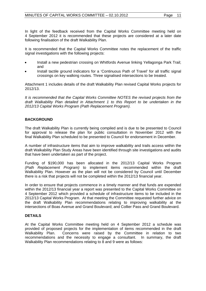In light of the feedback received from the Capital Works Committee meeting held on 4 September 2012 it is recommended that these projects are considered at a later date following finalisation of the draft Walkability Plan.

It is recommended that the Capital Works Committee notes the replacement of the traffic signal investigations with the following projects:

- Install a new pedestrian crossing on Whitfords Avenue linking Yellagonga Park Trail; and
- Install tactile ground indicators for a 'Continuous Path of Travel' for all traffic signal crossings on key walking routes. Three signalised intersections to be treated.

Attachment 1 includes details of the draft Walkability Plan revised Capital Works projects for 2012/13.

*It is recommended that the Capital Works Committee NOTES the revised projects from the draft Walkability Plan detailed in Attachment 1 to this Report to be undertaken in the 2012/13 Capital Works Program (Path Replacement Program).* 

## **BACKGROUND**

The draft Walkability Plan is currently being compiled and is due to be presented to Council for approval to release the plan for public consultation in November 2012 with the final Walkability Plan scheduled to be presented to Council for endorsement in December.

A number of infrastructure items that aim to improve walkability and trails access within the draft Walkability Plan Study Areas have been identified through site investigations and audits that have been undertaken as part of the project.

Funding of \$190,000 has been allocated in the 2012/13 Capital Works Program *(Path Replacement Program)* to implement items recommended within the draft Walkability Plan. However as the plan will not be considered by Council until December there is a risk that projects will not be completed within the 2012/13 financial year.

In order to ensure that projects commence in a timely manner and that funds are expended within the 2012/13 financial year a report was presented to the Capital Works Committee on 4 September 2012 which provided a schedule of infrastructure items to be included in the 2012/13 Capital Works Program. At that meeting the Committee requested further advice on the draft Walkability Plan recommendations relating to improving walkability at the intersections of Boas Avenue and Grand Boulevard; and Collier Pass and Grand Boulevard.

## **DETAILS**

At the Capital Works Committee meeting held on 4 September 2012 a schedule was provided of proposed projects for the implementation of items recommended in the draft Walkability Plan. Concerns were raised by the Committee in relation to two recommendations and the necessity to engage a consultant. In summary, the draft Walkability Plan recommendations relating to 8 and 9 were as follows: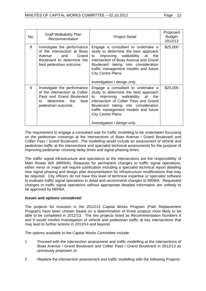| No. | Draft Walkability Plan<br>Recommendation                                                                                                        | <b>Project Detail</b>                                                                                                                                                                                                                                                                              | Proposed<br><b>Budget</b><br>2012/13 |
|-----|-------------------------------------------------------------------------------------------------------------------------------------------------|----------------------------------------------------------------------------------------------------------------------------------------------------------------------------------------------------------------------------------------------------------------------------------------------------|--------------------------------------|
| 8   | Investigate the performance<br>of the intersection at Boas<br>Grand<br>and<br>Avenue<br>Boulevard to determine the<br>best pedestrian outcome.  | Engage a consultant to undertake a<br>study to determine the best approach<br>improving walkability at<br>to<br>the<br>intersection of Boas Avenue and Grand<br>Boulevard taking into consideration<br>traffic management models and future<br>City Centre Plans.<br>Investigation / design only.  | \$25,000                             |
| 9   | Investigate the performance<br>of the intersection at Collier<br>Pass and Grand Boulevard<br>determine the<br>best<br>to<br>pedestrian outcome. | Engage a consultant to undertake a<br>study to determine the best approach<br>improving walkability at<br>the<br>to<br>intersection of Collier Pass and Grand<br>Boulevard taking into consideration<br>traffic management models and future<br>City Centre Plans.<br>Investigation / design only. | \$25,000                             |

The requirement to engage a consultant was for traffic modelling to be undertaken focussing on the pedestrian crossings at the intersections of Boas Avenue / Grand Boulevard and Collier Pass / Grand Boulevard. The modelling would include an assessment of vehicle and pedestrian traffic at the intersections and specialist technical assessments for the purpose of improving pedestrian crossing delay times and signal phasing times.

The traffic signal infrastructure and operations at the intersections are the responsibility of Main Roads WA (MRWA). Requests for permanent changes to traffic signal operations, either minor or major will require justification including a specialist technical report detailing new signal phasing and design plan documentation for infrastructure modifications that may be required. City officers do not have this level of technical expertise or specialist software to evaluate traffic signal operations in detail and recommend changes to MRWA. Requested changes to traffic signal operations without appropriate detailed information are unlikely to be approved by MRWA.

## **Issues and options considered:**

The projects for inclusion in the 2012/13 Capital Works Program (Path Replacement Program) have been chosen based on a determination of those projects most likely to be able to be completed in 2012/13. The two projects listed as Recommendation Numbers 8 and 9 would involve investigation of vehicle and pedestrian traffic at key intersections that may lead to further actions in 2013/14 and beyond.

The options available to the Capital Works Committee include:

- 1 Proceed with the intersection assessment and traffic modelling at the intersections of Boas Avenue / Grand Boulevard and Collier Pass / Grand Boulevard in 2012/13 as previously proposed; or
- 2 Replace the intersection assessment and traffic modelling with the following Projects: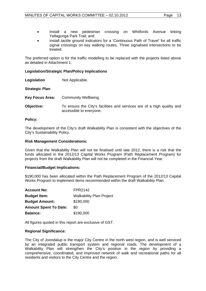- Install a new pedestrian crossing on Whitfords Avenue linking Yellagonga Park Trail; and
- Install tactile ground indicators for a 'Continuous Path of Travel' for all traffic signal crossings on key walking routes. Three signalised intersections to be treated.

The preferred option is for the traffic modelling to be replaced with the projects listed above as detailed in Attachment 1.

## **Legislation/Strategic Plan/Policy Implications**

**Legislation** Not Applicable.

**Strategic Plan** 

- **Key Focus Area:** Community Wellbeing.
- **Objective:** To ensure the City's facilities and services are of a high quality and accessible to everyone.

#### **Policy:**

The development of the City's draft Walkability Plan is consistent with the objectives of the City's Sustainability Policy.

#### **Risk Management Considerations:**

Given that the Walkability Plan will not be finalised until late 2012, there is a risk that the funds allocated in the 2012/13 Capital Works Program (Path Replacement Program) for projects from the draft Walkability Plan will not be completed in the Financial Year.

#### **Financial/Budget Implications:**

\$190,000 has been allocated within the Path Replacement Program of the 2012/13 Capital Works Program to implement items recommended within the draft Walkability Plan.

| <b>Account No:</b>           | FPR2142                         |
|------------------------------|---------------------------------|
| <b>Budget Item:</b>          | <b>Walkability Plan Project</b> |
| <b>Budget Amount:</b>        | \$190,000                       |
| <b>Amount Spent To Date:</b> | \$0                             |
| <b>Balance:</b>              | \$190,000                       |

All figures quoted in this report are exclusive of GST.

#### **Regional Significance:**

The City of Joondalup is the major City Centre in the north west region, and is well serviced by an integrated public transport system and regional roads. The development of a Walkability Plan will strengthen the City's position in the region by providing a comprehensive, coordinated, and improved network of walk and recreational paths for all residents and visitors to the City Centre and the region.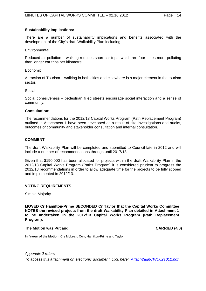## **Sustainability Implications:**

There are a number of sustainability implications and benefits associated with the development of the City's draft Walkability Plan including:

#### **Environmental**

Reduced air pollution – walking reduces short car trips, which are four times more polluting than longer car trips per kilometre.

#### Economic

Attraction of Tourism – walking in both cities and elsewhere is a major element in the tourism sector.

#### Social

Social cohesiveness – pedestrian filled streets encourage social interaction and a sense of community.

#### **Consultation:**

The recommendations for the 2012/13 Capital Works Program (Path Replacement Program) outlined in Attachment 1 have been developed as a result of site investigations and audits, outcomes of community and stakeholder consultation and internal consultation.

#### **COMMENT**

The draft Walkability Plan will be completed and submitted to Council late in 2012 and will include a number of recommendations through until 2017/18.

Given that \$190,000 has been allocated for projects within the draft Walkability Plan in the 2012/13 Capital Works Program (Paths Program) it is considered prudent to progress the 2012/13 recommendations in order to allow adequate time for the projects to be fully scoped and implemented in 2012/13.

## **VOTING REQUIREMENTS**

Simple Majority.

**MOVED Cr Hamilton-Prime SECONDED Cr Taylor that the Capital Works Committee NOTES the revised projects from the draft Walkability Plan detailed in Attachment 1 to be undertaken in the 2012/13 Capital Works Program (Path Replacement Program).** 

#### **The Motion was Put and CARRIED (4/0) CARRIED (4/0)**

**In favour of the Motion:** Crs McLean, Corr, Hamilton-Prime and Taylor.

*Appendix 2 refers To access this attachment on electronic document, click here:<Attach2agnCWC021012.pdf>*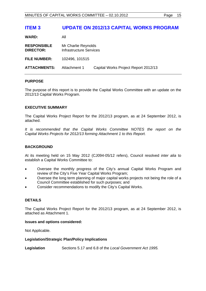# <span id="page-14-0"></span>**ITEM 3 UPDATE ON 2012/13 CAPITAL WORKS PROGRAM**

| <b>WARD:</b>                           | All                                                   |                                      |
|----------------------------------------|-------------------------------------------------------|--------------------------------------|
| <b>RESPONSIBLE</b><br><b>DIRECTOR:</b> | Mr Charlie Reynolds<br><b>Infrastructure Services</b> |                                      |
| <b>FILE NUMBER:</b>                    | 102496, 101515                                        |                                      |
| <b>ATTACHMENTS:</b>                    | Attachment 1                                          | Capital Works Project Report 2012/13 |

## **PURPOSE**

The purpose of this report is to provide the Capital Works Committee with an update on the 2012/13 Capital Works Program.

#### **EXECUTIVE SUMMARY**

The Capital Works Project Report for the 2012/13 program, as at 24 September 2012, is attached.

*It is recommended that the Capital Works Committee NOTES the report on the Capital Works Projects for 2012/13 forming Attachment 1 to this Report.* 

## **BACKGROUND**

At its meeting held on 15 May 2012 (CJ094-05/12 refers), Council resolved *inter alia* to establish a Capital Works Committee to:

- Oversee the monthly progress of the City's annual Capital Works Program and review of the City's Five Year Capital Works Program;
- Oversee the long term planning of major capital works projects not being the role of a Council Committee established for such purposes; and
- Consider recommendations to modify the City's Capital Works.

## **DETAILS**

The Capital Works Project Report for the 2012/13 program, as at 24 September 2012, is attached as Attachment 1.

#### **Issues and options considered:**

Not Applicable.

#### **Legislation/Strategic Plan/Policy Implications**

**Legislation** Sections 5.17 and 6.8 of the *Local Government Act 1995.*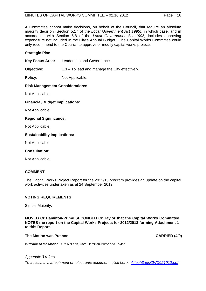## MINUTES OF CAPITAL WORKS COMMITTEE - 02.10.2012 Page 16

A Committee cannot make decisions, on behalf of the Council, that require an absolute majority decision (Section 5.17 of the *Local Government Act 1995)*, in which case, and in accordance with Section 6.8 of the *Local Government Act 1995,* includes approving expenditure not included in the City's Annual Budget. The Capital Works Committee could only recommend to the Council to approve or modify capital works projects.

## **Strategic Plan**

**Key Focus Area:** Leadership and Governance.

**Objective:** 1.3 – To lead and manage the City effectively.

**Policy:** Not Applicable.

## **Risk Management Considerations:**

Not Applicable.

## **Financial/Budget Implications:**

Not Applicable.

## **Regional Significance:**

Not Applicable.

#### **Sustainability Implications:**

Not Applicable.

#### **Consultation:**

Not Applicable.

## **COMMENT**

The Capital Works Project Report for the 2012/13 program provides an update on the capital work activities undertaken as at 24 September 2012.

## **VOTING REQUIREMENTS**

Simple Majority.

**MOVED Cr Hamilton-Prime SECONDED Cr Taylor that the Capital Works Committee NOTES the report on the Capital Works Projects for 2012/2013 forming Attachment 1 to this Report.** 

#### **The Motion was Put and CARRIED (4/0) CARRIED (4/0)**

**In favour of the Motion:** Crs McLean, Corr, Hamilton-Prime and Taylor.

## *Appendix 3 refers*

*To access this attachment on electronic document, click here:<Attach3agnCWC021012.pdf>*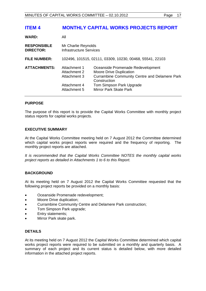# <span id="page-16-0"></span>**ITEM 4 MONTHLY CAPITAL WORKS PROJECTS REPORT**

| <b>WARD:</b>                           | All                                                                          |                                                                                                                                                                                                          |  |
|----------------------------------------|------------------------------------------------------------------------------|----------------------------------------------------------------------------------------------------------------------------------------------------------------------------------------------------------|--|
| <b>RESPONSIBLE</b><br><b>DIRECTOR:</b> | Mr Charlie Reynolds<br>Infrastructure Services                               |                                                                                                                                                                                                          |  |
| <b>FILE NUMBER:</b>                    |                                                                              | 102496, 101515, 02111, 03309, 10230, 00468, 55541, 22103                                                                                                                                                 |  |
| <b>ATTACHMENTS:</b>                    | Attachment 1<br>Attachment 2<br>Attachment 3<br>Attachment 4<br>Attachment 5 | Oceanside Promenade Redevelopment<br><b>Moore Drive Duplication</b><br><b>Currambine Community Centre and Delamere Park</b><br>Construction<br>Tom Simpson Park Upgrade<br><b>Mirror Park Skate Park</b> |  |

#### **PURPOSE**

The purpose of this report is to provide the Capital Works Committee with monthly project status reports for capital works projects.

## **EXECUTIVE SUMMARY**

At the Capital Works Committee meeting held on 7 August 2012 the Committee determined which capital works project reports were required and the frequency of reporting. The monthly project reports are attached.

*It is recommended that the Capital Works Committee NOTES the monthly capital works project reports as detailed in Attachments 1 to 6 to this Report.*

## **BACKGROUND**

At its meeting held on 7 August 2012 the Capital Works Committee requested that the following project reports be provided on a monthly basis:

- Oceanside Promenade redevelopment;
- Moore Drive duplication;
- Currambine Community Centre and Delamere Park construction;
- Tom Simpson Park upgrade;
- Entry statements;
- Mirror Park skate park.

#### **DETAILS**

At its meeting held on 7 August 2012 the Capital Works Committee determined which capital works project reports were required to be submitted on a monthly and quarterly basis. A summary of each project and its current status is detailed below, with more detailed information in the attached project reports.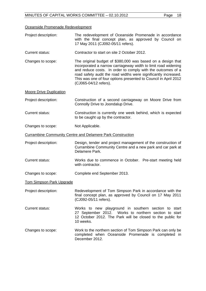# Oceanside Promenade Redevelopment

| Project description:           | The redevelopment of Oceanside Promenade in accordance<br>with the final concept plan, as approved by Council on<br>17 May 2011 (CJ092-05/11 refers).                                                                                                                                                                                                       |
|--------------------------------|-------------------------------------------------------------------------------------------------------------------------------------------------------------------------------------------------------------------------------------------------------------------------------------------------------------------------------------------------------------|
| <b>Current status:</b>         | Contractor to start on site 2 October 2012.                                                                                                                                                                                                                                                                                                                 |
| Changes to scope:              | The original budget of \$380,000 was based on a design that<br>incorporated a narrow carriageway width to limit road widening<br>and reduce costs. In order to comply with the outcomes of a<br>road safety audit the road widths were significantly increased.<br>This was one of four options presented to Council in April 2012<br>(CJ065-04/12 refers). |
| <b>Moore Drive Duplication</b> |                                                                                                                                                                                                                                                                                                                                                             |
| Project description:           | Construction of a second carriageway on Moore Drive from<br>Connolly Drive to Joondalup Drive.                                                                                                                                                                                                                                                              |
| <b>Current status:</b>         | Construction is currently one week behind, which is expected<br>to be caught up by the contractor.                                                                                                                                                                                                                                                          |
| Changes to scope:              | Not Applicable.                                                                                                                                                                                                                                                                                                                                             |
|                                | <b>Currambine Community Centre and Delamere Park Construction</b>                                                                                                                                                                                                                                                                                           |
| Project description:           | Design, tender and project management of the construction of<br>Currambine Community Centre and a new park and car park at<br>Delamere Park.                                                                                                                                                                                                                |
| <b>Current status:</b>         | Works due to commence in October. Pre-start meeting held<br>with contractor.                                                                                                                                                                                                                                                                                |
| Changes to scope:              | Complete end September 2013.                                                                                                                                                                                                                                                                                                                                |
| Tom Simpson Park Upgrade       |                                                                                                                                                                                                                                                                                                                                                             |
| Project description:           | Redevelopment of Tom Simpson Park in accordance with the<br>final concept plan, as approved by Council on 17 May 2011<br>(CJ092-05/11 refers).                                                                                                                                                                                                              |
| <b>Current status:</b>         | Works to new playground in southern section to start<br>27 September 2012. Works to northern section to start<br>12 October 2012. The Park will be closed to the public for<br>10 weeks.                                                                                                                                                                    |
| Changes to scope:              | Work to the northern section of Tom Simpson Park can only be<br>completed when Oceanside Promenade is completed in<br>December 2012.                                                                                                                                                                                                                        |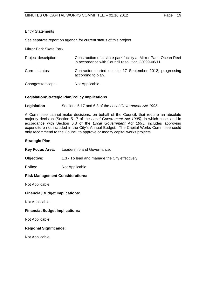## **Entry Statements**

See separate report on agenda for current status of this project.

#### Mirror Park Skate Park

| Project description: | Construction of a skate park facility at Mirror Park, Ocean Reef<br>in accordance with Council resolution CJ099-06/11. |
|----------------------|------------------------------------------------------------------------------------------------------------------------|
| Current status:      | Contractor started on site 17 September 2012; progressing<br>according to plan.                                        |

Changes to scope: Not Applicable.

## **Legislation/Strategic Plan/Policy Implications**

**Legislation** Sections 5.17 and 6.8 of the *Local Government Act 1995.* 

A Committee cannot make decisions, on behalf of the Council, that require an absolute majority decision (Section 5.17 of the *Local Government Act 1995)*, in which case, and in accordance with Section 6.8 of the *Local Government Act 1995,* includes approving expenditure not included in the City's Annual Budget. The Capital Works Committee could only recommend to the Council to approve or modify capital works projects.

## **Strategic Plan**

**Key Focus Area:** Leadership and Governance.

**Objective:** 1.3 - To lead and manage the City effectively.

**Policy:** Not Applicable.

## **Risk Management Considerations:**

Not Applicable.

## **Financial/Budget Implications:**

Not Applicable.

## **Financial/Budget Implications:**

Not Applicable.

## **Regional Significance:**

Not Applicable.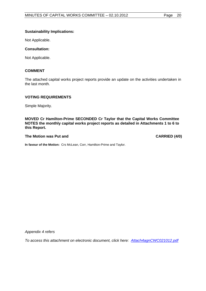## **Sustainability Implications:**

Not Applicable.

## **Consultation:**

Not Applicable.

#### **COMMENT**

The attached capital works project reports provide an update on the activities undertaken in the last month.

#### **VOTING REQUIREMENTS**

Simple Majority.

**MOVED Cr Hamilton-Prime SECONDED Cr Taylor that the Capital Works Committee NOTES the monthly capital works project reports as detailed in Attachments 1 to 6 to this Report.**

#### The Motion was Put and **CARRIED** (4/0)

**In favour of the Motion:** Crs McLean, Corr, Hamilton-Prime and Taylor.

*Appendix 4 refers* 

*To access this attachment on electronic document, click here: <Attach4agnCWC021012.pdf>*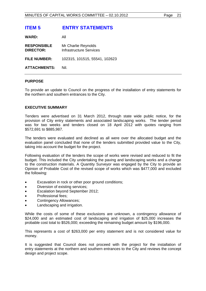# <span id="page-20-0"></span>**ITEM 5 ENTRY STATEMENTS**

| <b>WARD:</b> | All |
|--------------|-----|
|              |     |

| <b>RESPONSIBLE</b><br><b>DIRECTOR:</b> | Mr Charlie Reynolds<br><b>Infrastructure Services</b> |
|----------------------------------------|-------------------------------------------------------|
| <b>FILE NUMBER:</b>                    | 102315, 101515, 55541, 102623                         |
| <b>ATTACHMENTS:</b>                    | Nil.                                                  |

#### **PURPOSE**

To provide an update to Council on the progress of the installation of entry statements for the northern and southern entrances to the City.

#### **EXECUTIVE SUMMARY**

Tenders were advertised on 31 March 2012, through state wide public notice, for the provision of City entry statements and associated landscaping works. The tender period was for two weeks and tenders closed on 18 April 2012 with quotes ranging from \$572,691 to \$885,987.

The tenders were evaluated and declined as all were over the allocated budget and the evaluation panel concluded that none of the tenders submitted provided value to the City, taking into account the budget for the project.

Following evaluation of the tenders the scope of works were revised and reduced to fit the budget. This included the City undertaking the paving and landscaping works and a change to the construction materials. A Quantity Surveyor was engaged by the City to provide an Opinion of Probable Cost of the revised scope of works which was \$477,000 and excluded the following:

- Excavation in rock or other poor ground conditions;
- Diversion of existing services;
- Escalation beyond September 2012;
- Professional fees;
- Contingency Allowances;
- Landscaping and irrigation.

While the costs of some of these exclusions are unknown, a contingency allowance of \$24,000 and an estimated cost of landscaping and irrigation of \$25,000 increases the probable cost total to \$526,000; exceeding the remaining budget amount by \$196,000.

This represents a cost of \$263,000 per entry statement and is not considered value for money.

It is suggested that Council does not proceed with the project for the installation of entry statements at the northern and southern entrances to the City and reviews the concept design and project scope.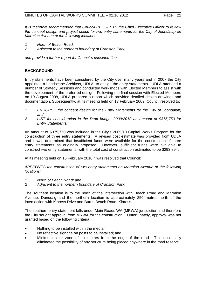*It is therefore recommended that Council REQUESTS the Chief Executive Officer to review the concept design and project scope for two entry statements for the City of Joondalup on Marmion Avenue at the following locations:* 

- *1 North of Beach Road;*
- *2 Adjacent to the northern boundary of Cranston Park,*

*and provide a further report for Council's consideration.* 

## **BACKGROUND**

Entry statements have been considered by the City over many years and in 2007 the City appointed a Landscape Architect, UDLA, to design the entry statements. UDLA attended a number of Strategy Sessions and conducted workshops with Elected Members to assist with the development of the preferred design. Following the final session with Elected Members on 19 August 2008, UDLA prepared a report which provided detailed design drawings and documentation. Subsequently, at its meeting held on 17 February 2009, Council resolved to:

- *1 ENDORSE the concept design for the Entry Statements for the City of Joondalup; and*
- *2 LIST for consideration in the Draft budget 2009/2010 an amount of \$375,750 for Entry Statements.*

An amount of \$375,750 was included in the City's 2009/10 Capital Works Program for the construction of three entry statements. A revised cost estimate was provided from UDLA and it was determined that insufficient funds were available for the construction of three entry statements as originally proposed. However, sufficient funds were available to construct two entry statements, with the total cost of construction estimated to be \$293,894.

At its meeting held on 16 February 2010 it was resolved that Council:

*APPROVES the construction of two entry statements on Marmion Avenue at the following locations:* 

- *1 North of Beach Road; and*
- *2 Adjacent to the northern boundary of Cranston Park.*

The southern location is to the north of the intersection with Beach Road and Marmion Avenue, Duncraig and the northern location is approximately 250 metres north of the intersection with Kinross Drive and Burns Beach Road, Kinross.

The southern entry statement falls under Main Roads WA (MRWA) jurisdiction and therefore the City sought approval from MRWA for the construction. Unfortunately, approval was not granted based on the following criteria:

- Nothing to be installed within the median;
- No reflective signage on posts to be installed; and
- Minimum clear zone of six metres from the edge of the road. This essentially eliminated the possibility of any structure being placed anywhere in the road reserve.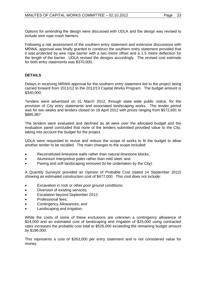Options for amending the design were discussed with UDLA and the design was revised to include wire rope crash barriers.

Following a risk assessment of the southern entry statement and extensive discussions with MRWA, approval was finally granted to construct the southern entry statement provided that it was protected by wire rope barrier with a two metre offset and a 1.5 metre deflection for the length of the barrier. UDLA revised the designs accordingly. The revised cost estimate for both entry statements was \$370,000.

## **DETAILS**

Delays in receiving MRWA approval for the southern entry statement led to the project being carried forward from 2011/12 to the 2012/13 Capital Works Program. The budget amount is \$340,000.

Tenders were advertised on 31 March 2012, through state wide public notice, for the provision of City entry statements and associated landscaping works. The tender period was for two weeks and tenders closed on 18 April 2012 with prices ranging from \$572,691 to \$885,987.

The tenders were evaluated and declined as all were over the allocated budget and the evaluation panel concluded that none of the tenders submitted provided value to the City, taking into account the budget for the project.

UDLA were requested to revise and reduce the scope of works to fit the budget to allow another tender to be recalled. The main changes to the scope included:

- Reconstituted limestone walls rather than natural limestone blocks;
- Aluminium Interpretive poles rather than mild steel; and
- Paving and soft landscaping removed (to be undertaken by the City).

A Quantity Surveyor provided an Opinion of Probable Cost (dated 14 September 2012) showing an estimated construction cost of \$477,000. This cost does not include:

- Excavation in rock or other poor ground conditions;
- Diversion of existing services;
- Escalation beyond September 2012;
- Professional fees;
- Contingency Allowances; and
- Landscaping and irrigation.

While the costs of some of these exclusions are unknown a contingency allowance of \$24,000 and an estimated cost of landscaping and irrigation of \$25,000 using contracted rates increases the probable cost total to \$526,000 exceeding the remaining budget amount by \$196,000.

This represents a cost of \$263,000 per entry statement and is not considered value for money.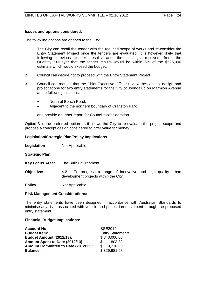## **Issues and options considered:**

The following options are opened to the City:

- 1 The City can recall the tender with the reduced scope of works and re-consider the Entry Statement Project once the tenders are evaluated. It is however likely that following previous tender results and the costings received from the Quantity Surveyor that the tender results would be within 5% of the \$526,000 estimate which would exceed the budget.
- 2 Council can decide not to proceed with the Entry Statement Project.
- 3 Council can request that the Chief Executive Officer review the concept design and project scope for two entry statements for the City of Joondalup on Marmion Avenue at the following locations:
	- North of Beach Road;
	- Adjacent to the northern boundary of Cranston Park,

and provide a further report for Council's consideration.

Option 3 is the preferred option as it allows the City to re-evaluate the project scope and propose a concept design considered to offer value for money.

## **Legislation/Strategic Plan/Policy Implications**

**Legislation** Not Applicable.

## **Strategic Plan**

- **Key Focus Area:** The Built Environment.
- **Objective:** 4.2 To progress a range of innovative and high quality urban development projects within the City.

**Policy** Not Applicable.

## **Risk Management Considerations:**

The entry statements have been designed in accordance with Australian Standards to minimise any risks associated with vehicle and pedestrian movement through the proposed entry statement.

## **Financial/Budget Implications:**

| <b>Account No:</b>                  | SSE2019                 |
|-------------------------------------|-------------------------|
| <b>Budget Item:</b>                 | <b>Entry Statements</b> |
| <b>Budget Amount (2012/13):</b>     | \$340,000.00            |
| Amount Spent to Date (2012/13):     | 808.32                  |
| Amount Committed to Date (2012/13): | 9,210.00                |
| <b>Balance:</b>                     | \$329,981.68            |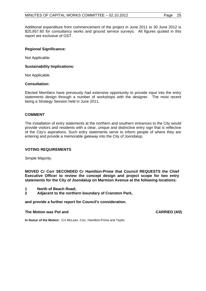Additional expenditure from commencement of the project in June 2011 to 30 June 2012 is \$25,857.60 for consultancy works and ground service surveys. All figures quoted in this report are exclusive of GST.

## **Regional Significance:**

Not Applicable.

#### **Sustainability Implications:**

Not Applicable.

#### **Consultation:**

Elected Members have previously had extensive opportunity to provide input into the entry statements design through a number of workshops with the designer. The most recent being a Strategy Session held in June 2011.

## **COMMENT**

The installation of entry statements at the northern and southern entrances to the City would provide visitors and residents with a clear, unique and distinctive entry sign that is reflective of the City's aspirations. Such entry statements serve to inform people of where they are entering and provide a memorable gateway into the City of Joondalup.

## **VOTING REQUIREMENTS**

Simple Majority.

**MOVED Cr Corr SECONDED Cr Hamilton-Prime that Council REQUESTS the Chief Executive Officer to review the concept design and project scope for two entry statements for the City of Joondalup on Marmion Avenue at the following locations:** 

- **1 North of Beach Road;**
- **2 Adjacent to the northern boundary of Cranston Park,**

**and provide a further report for Council's consideration.** 

#### The Motion was Put and **CARRIED** (4/0)

**In favour of the Motion:** Crs McLean, Corr, Hamilton-Prime and Taylor.